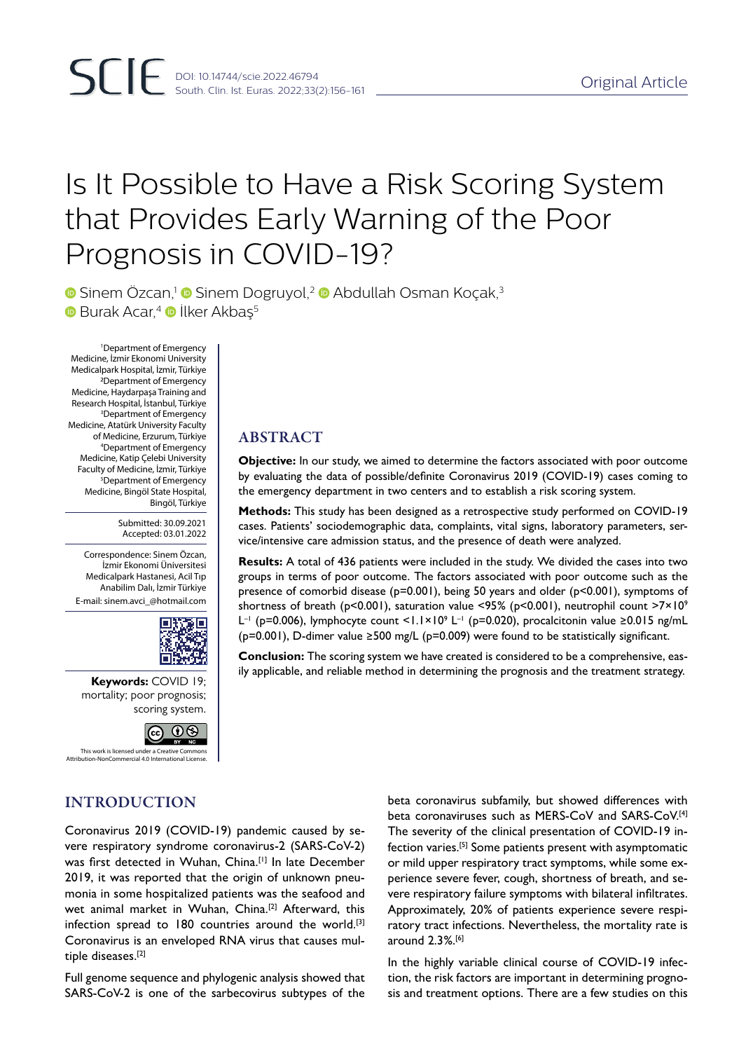# Is It Possible to Have a Risk Scoring System that Provides Early Warning of the Poor Prognosis in COVID-19?

**•** Sinem Özcan,<sup>1</sup> Sinem Dogruyol,<sup>2</sup> • Abdullah Osman Koçak,<sup>3</sup>  $\bullet$  Burak Acar,<sup>4</sup>  $\bullet$  İlker Akbas<sup>5</sup>

1 Department of Emergency Medicine, İzmir Ekonomi University Medicalpark Hospital, İzmir, Türkiye 2Department of Emergency Medicine, Haydarpaşa Training and Research Hospital, İstanbul, Türkiye 3 Department of Emergency Medicine, Atatürk University Faculty of Medicine, Erzurum, Türkiye 4 Department of Emergency Medicine, Katip Çelebi University Faculty of Medicine, İzmir, Türkiye 5 Department of Emergency Medicine, Bingöl State Hospital, Bingöl, Türkiye

> Submitted: 30.09.2021 Accepted: 03.01.2022

Correspondence: Sinem Özcan, İzmir Ekonomi Üniversitesi Medicalpark Hastanesi, Acil Tıp Anabilim Dalı, İzmir Türkiye E-mail: sinem.avci\_@hotmail.com



**Keywords:** COVID 19; mortality; poor prognosis; scoring system.



# ABSTRACT

**Objective:** In our study, we aimed to determine the factors associated with poor outcome by evaluating the data of possible/definite Coronavirus 2019 (COVID-19) cases coming to the emergency department in two centers and to establish a risk scoring system.

**Methods:** This study has been designed as a retrospective study performed on COVID-19 cases. Patients' sociodemographic data, complaints, vital signs, laboratory parameters, service/intensive care admission status, and the presence of death were analyzed.

**Results:** A total of 436 patients were included in the study. We divided the cases into two groups in terms of poor outcome. The factors associated with poor outcome such as the presence of comorbid disease (p=0.001), being 50 years and older (p<0.001), symptoms of shortness of breath ( $p$ <0.001), saturation value <95% ( $p$ <0.001), neutrophil count >7×10<sup>9</sup> L<sup>-1</sup> (p=0.006), lymphocyte count <1.1×10<sup>9</sup> L<sup>-1</sup> (p=0.020), procalcitonin value ≥0.015 ng/mL (p=0.001), D-dimer value ≥500 mg/L (p=0.009) were found to be statistically significant.

**Conclusion:** The scoring system we have created is considered to be a comprehensive, easily applicable, and reliable method in determining the prognosis and the treatment strategy.

# INTRODUCTION

Coronavirus 2019 (COVID-19) pandemic caused by severe respiratory syndrome coronavirus-2 (SARS-CoV-2) was first detected in Wuhan, China.[1] In late December 2019, it was reported that the origin of unknown pneumonia in some hospitalized patients was the seafood and wet animal market in Wuhan, China.<sup>[2]</sup> Afterward, this infection spread to 180 countries around the world.<sup>[3]</sup> Coronavirus is an enveloped RNA virus that causes multiple diseases.[2]

Full genome sequence and phylogenic analysis showed that SARS-CoV-2 is one of the sarbecovirus subtypes of the beta coronavirus subfamily, but showed differences with beta coronaviruses such as MERS-CoV and SARS-CoV.[4] The severity of the clinical presentation of COVID-19 infection varies.<sup>[5]</sup> Some patients present with asymptomatic or mild upper respiratory tract symptoms, while some experience severe fever, cough, shortness of breath, and severe respiratory failure symptoms with bilateral infiltrates. Approximately, 20% of patients experience severe respiratory tract infections. Nevertheless, the mortality rate is around 2.3%.[6]

In the highly variable clinical course of COVID-19 infection, the risk factors are important in determining prognosis and treatment options. There are a few studies on this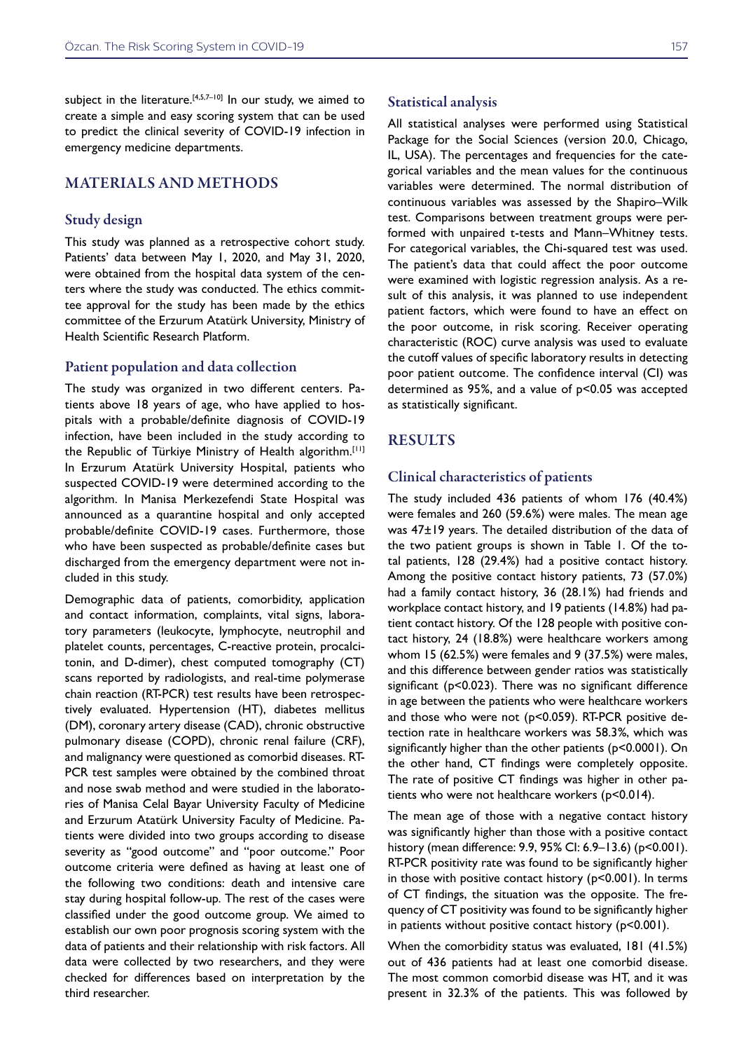subject in the literature.<sup>[4,5,7-10]</sup> In our study, we aimed to create a simple and easy scoring system that can be used to predict the clinical severity of COVID-19 infection in emergency medicine departments.

#### MATERIALS AND METHODS

#### Study design

This study was planned as a retrospective cohort study. Patients' data between May 1, 2020, and May 31, 2020, were obtained from the hospital data system of the centers where the study was conducted. The ethics committee approval for the study has been made by the ethics committee of the Erzurum Atatürk University, Ministry of Health Scientific Research Platform.

#### Patient population and data collection

The study was organized in two different centers. Patients above 18 years of age, who have applied to hospitals with a probable/definite diagnosis of COVID-19 infection, have been included in the study according to the Republic of Türkiye Ministry of Health algorithm.[11] In Erzurum Atatürk University Hospital, patients who suspected COVID-19 were determined according to the algorithm. In Manisa Merkezefendi State Hospital was announced as a quarantine hospital and only accepted probable/definite COVID-19 cases. Furthermore, those who have been suspected as probable/definite cases but discharged from the emergency department were not included in this study.

Demographic data of patients, comorbidity, application and contact information, complaints, vital signs, laboratory parameters (leukocyte, lymphocyte, neutrophil and platelet counts, percentages, C-reactive protein, procalcitonin, and D-dimer), chest computed tomography (CT) scans reported by radiologists, and real-time polymerase chain reaction (RT-PCR) test results have been retrospectively evaluated. Hypertension (HT), diabetes mellitus (DM), coronary artery disease (CAD), chronic obstructive pulmonary disease (COPD), chronic renal failure (CRF), and malignancy were questioned as comorbid diseases. RT-PCR test samples were obtained by the combined throat and nose swab method and were studied in the laboratories of Manisa Celal Bayar University Faculty of Medicine and Erzurum Atatürk University Faculty of Medicine. Patients were divided into two groups according to disease severity as "good outcome" and "poor outcome." Poor outcome criteria were defined as having at least one of the following two conditions: death and intensive care stay during hospital follow-up. The rest of the cases were classified under the good outcome group. We aimed to establish our own poor prognosis scoring system with the data of patients and their relationship with risk factors. All data were collected by two researchers, and they were checked for differences based on interpretation by the third researcher.

#### Statistical analysis

All statistical analyses were performed using Statistical Package for the Social Sciences (version 20.0, Chicago, IL, USA). The percentages and frequencies for the categorical variables and the mean values for the continuous variables were determined. The normal distribution of continuous variables was assessed by the Shapiro–Wilk test. Comparisons between treatment groups were performed with unpaired t-tests and Mann–Whitney tests. For categorical variables, the Chi-squared test was used. The patient's data that could affect the poor outcome were examined with logistic regression analysis. As a result of this analysis, it was planned to use independent patient factors, which were found to have an effect on the poor outcome, in risk scoring. Receiver operating characteristic (ROC) curve analysis was used to evaluate the cutoff values of specific laboratory results in detecting poor patient outcome. The confidence interval (CI) was determined as 95%, and a value of p<0.05 was accepted as statistically significant.

#### RESULTS

#### Clinical characteristics of patients

The study included 436 patients of whom 176 (40.4%) were females and 260 (59.6%) were males. The mean age was 47±19 years. The detailed distribution of the data of the two patient groups is shown in Table 1. Of the total patients, 128 (29.4%) had a positive contact history. Among the positive contact history patients, 73 (57.0%) had a family contact history, 36 (28.1%) had friends and workplace contact history, and 19 patients (14.8%) had patient contact history. Of the 128 people with positive contact history, 24 (18.8%) were healthcare workers among whom 15 (62.5%) were females and 9 (37.5%) were males, and this difference between gender ratios was statistically significant (p<0.023). There was no significant difference in age between the patients who were healthcare workers and those who were not (p<0.059). RT-PCR positive detection rate in healthcare workers was 58.3%, which was significantly higher than the other patients (p<0.0001). On the other hand, CT findings were completely opposite. The rate of positive CT findings was higher in other patients who were not healthcare workers (p<0.014).

The mean age of those with a negative contact history was significantly higher than those with a positive contact history (mean difference: 9.9, 95% CI: 6.9–13.6) (p<0.001). RT-PCR positivity rate was found to be significantly higher in those with positive contact history (p<0.001). In terms of CT findings, the situation was the opposite. The frequency of CT positivity was found to be significantly higher in patients without positive contact history (p<0.001).

When the comorbidity status was evaluated, 181 (41.5%) out of 436 patients had at least one comorbid disease. The most common comorbid disease was HT, and it was present in 32.3% of the patients. This was followed by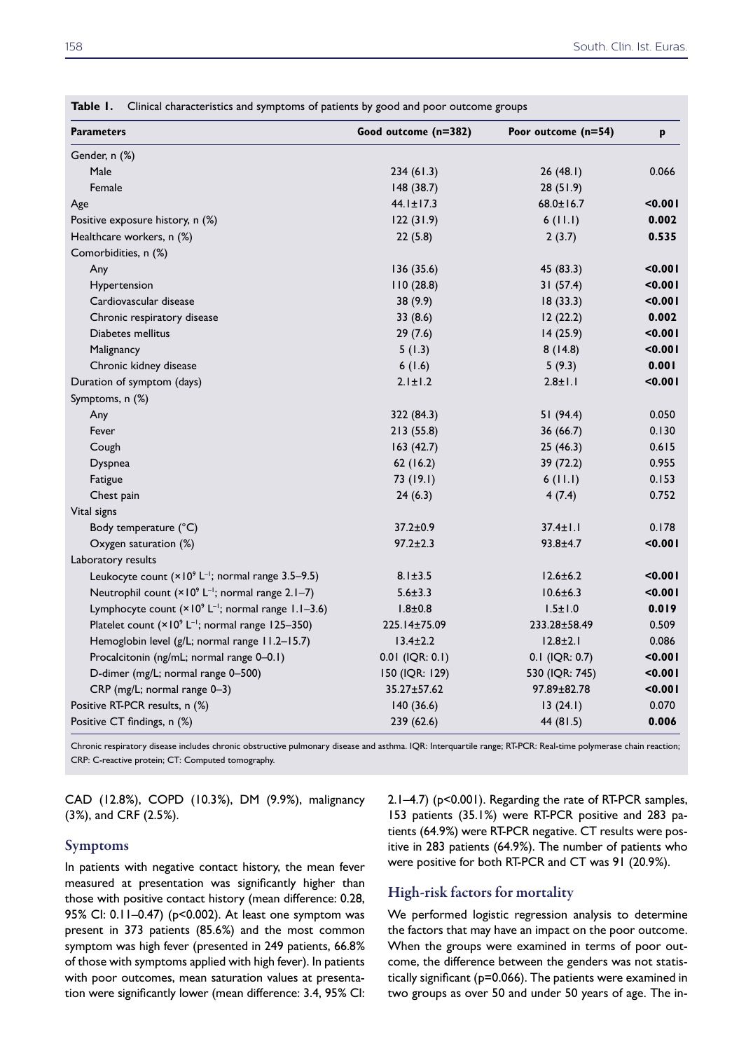| <b>Parameters</b>                                                         | Good outcome (n=382) | Poor outcome (n=54) | p       |
|---------------------------------------------------------------------------|----------------------|---------------------|---------|
| Gender, n (%)                                                             |                      |                     |         |
| Male                                                                      | 234(61.3)            | 26(48.1)            | 0.066   |
| Female                                                                    | 148(38.7)            | 28 (51.9)           |         |
| Age                                                                       | $44.1 \pm 17.3$      | $68.0 \pm 16.7$     | 0.001   |
| Positive exposure history, n (%)                                          | 122(31.9)            | 6(11.1)             | 0.002   |
| Healthcare workers, n (%)                                                 | 22(5.8)              | 2(3.7)              | 0.535   |
| Comorbidities, n (%)                                                      |                      |                     |         |
| Any                                                                       | 136(35.6)            | 45 (83.3)           | 0.001   |
| Hypertension                                                              | 110(28.8)            | 31(57.4)            | < 0.001 |
| Cardiovascular disease                                                    | 38 (9.9)             | 18(33.3)            | < 0.001 |
| Chronic respiratory disease                                               | 33(8.6)              | 12(22.2)            | 0.002   |
| Diabetes mellitus                                                         | 29(7.6)              | 14(25.9)            | < 0.001 |
| Malignancy                                                                | 5(1.3)               | 8(14.8)             | < 0.001 |
| Chronic kidney disease                                                    | 6(1.6)               | 5(9.3)              | 0.001   |
| Duration of symptom (days)                                                | $2.1 \pm 1.2$        | $2.8 \pm 1.1$       | < 0.001 |
| Symptoms, n (%)                                                           |                      |                     |         |
| Any                                                                       | 322 (84.3)           | 51 (94.4)           | 0.050   |
| Fever                                                                     | 213 (55.8)           | 36 (66.7)           | 0.130   |
| Cough                                                                     | 163(42.7)            | 25(46.3)            | 0.615   |
| Dyspnea                                                                   | 62(16.2)             | 39 (72.2)           | 0.955   |
| Fatigue                                                                   | 73 (19.1)            | 6(11.1)             | 0.153   |
| Chest pain                                                                | 24(6.3)              | 4(7.4)              | 0.752   |
| Vital signs                                                               |                      |                     |         |
| Body temperature (°C)                                                     | $37.2 \pm 0.9$       | $37.4 \pm 1.1$      | 0.178   |
| Oxygen saturation (%)                                                     | $97.2 \pm 2.3$       | $93.8 + 4.7$        | < 0.001 |
| Laboratory results                                                        |                      |                     |         |
| Leukocyte count $(x10^9 L^{-1})$ ; normal range 3.5-9.5)                  | $8.1 \pm 3.5$        | $12.6 \pm 6.2$      | < 0.001 |
| Neutrophil count (× 10 <sup>9</sup> L <sup>-1</sup> ; normal range 2.1-7) | $5.6 \pm 3.3$        | $10.6 \pm 6.3$      | < 0.001 |
| Lymphocyte count $(x10^9 L^{-1})$ ; normal range 1.1-3.6)                 | $1.8 + 0.8$          | $1.5 \pm 1.0$       | 0.019   |
| Platelet count (× 10 <sup>9</sup> L <sup>-1</sup> ; normal range 125-350) | 225.14±75.09         | 233.28±58.49        | 0.509   |
| Hemoglobin level (g/L; normal range 11.2-15.7)                            | $13.4 \pm 2.2$       | $12.8 \pm 2.1$      | 0.086   |
| Procalcitonin (ng/mL; normal range 0-0.1)                                 | $0.01$ (IQR: $0.1$ ) | $0.1$ (IQR: 0.7)    | < 0.001 |
| D-dimer (mg/L; normal range 0-500)                                        | 150 (IQR: 129)       | 530 (IQR: 745)      | < 0.001 |
| CRP (mg/L; normal range 0-3)                                              | 35.27±57.62          | 97.89±82.78         | < 0.001 |
| Positive RT-PCR results, n (%)                                            | 140(36.6)            | 13(24.1)            | 0.070   |
| Positive CT findings, n (%)                                               | 239 (62.6)           | 44 (81.5)           | 0.006   |

**Table 1.** Clinical characteristics and symptoms of patients by good and poor outcome groups

Chronic respiratory disease includes chronic obstructive pulmonary disease and asthma. IQR: Interquartile range; RT-PCR: Real-time polymerase chain reaction; CRP: C-reactive protein; CT: Computed tomography.

CAD (12.8%), COPD (10.3%), DM (9.9%), malignancy (3%), and CRF (2.5%).

#### Symptoms

In patients with negative contact history, the mean fever measured at presentation was significantly higher than those with positive contact history (mean difference: 0.28, 95% CI: 0.11–0.47) (p<0.002). At least one symptom was present in 373 patients (85.6%) and the most common symptom was high fever (presented in 249 patients, 66.8% of those with symptoms applied with high fever). In patients with poor outcomes, mean saturation values at presentation were significantly lower (mean difference: 3.4, 95% CI: 2.1–4.7) (p<0.001). Regarding the rate of RT-PCR samples, 153 patients (35.1%) were RT-PCR positive and 283 patients (64.9%) were RT-PCR negative. CT results were positive in 283 patients (64.9%). The number of patients who were positive for both RT-PCR and CT was 91 (20.9%).

#### High-risk factors for mortality

We performed logistic regression analysis to determine the factors that may have an impact on the poor outcome. When the groups were examined in terms of poor outcome, the difference between the genders was not statistically significant (p=0.066). The patients were examined in two groups as over 50 and under 50 years of age. The in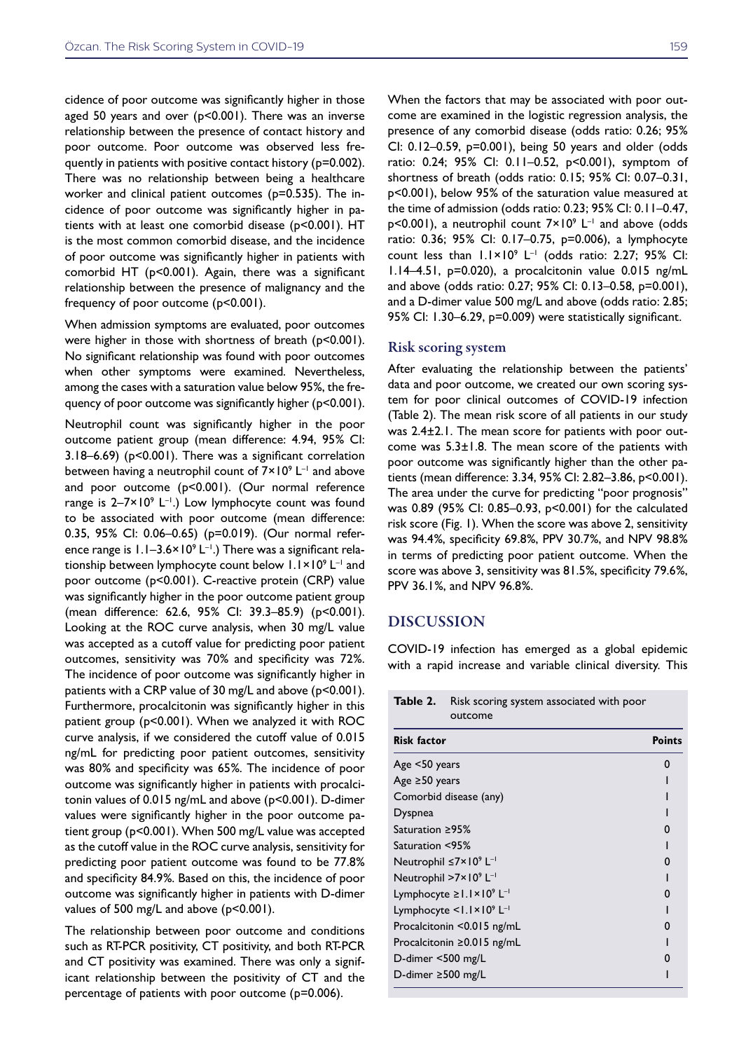cidence of poor outcome was significantly higher in those aged 50 years and over (p<0.001). There was an inverse relationship between the presence of contact history and poor outcome. Poor outcome was observed less frequently in patients with positive contact history (p=0.002). There was no relationship between being a healthcare worker and clinical patient outcomes (p=0.535). The incidence of poor outcome was significantly higher in patients with at least one comorbid disease (p<0.001). HT is the most common comorbid disease, and the incidence of poor outcome was significantly higher in patients with comorbid HT (p<0.001). Again, there was a significant relationship between the presence of malignancy and the frequency of poor outcome (p<0.001).

When admission symptoms are evaluated, poor outcomes were higher in those with shortness of breath (p<0.001). No significant relationship was found with poor outcomes when other symptoms were examined. Nevertheless, among the cases with a saturation value below 95%, the frequency of poor outcome was significantly higher (p<0.001).

Neutrophil count was significantly higher in the poor outcome patient group (mean difference: 4.94, 95% CI: 3.18–6.69) (p<0.001). There was a significant correlation between having a neutrophil count of  $7\times10^9$  L<sup>-1</sup> and above and poor outcome (p<0.001). (Our normal reference range is  $2-7\times10^{9}$  L<sup>-1</sup>.) Low lymphocyte count was found to be associated with poor outcome (mean difference: 0.35, 95% CI: 0.06–0.65) (p=0.019). (Our normal reference range is  $1.1-3.6\times10^{9}$  L<sup>-1</sup>.) There was a significant relationship between lymphocyte count below 1.1×10<sup>9</sup> L<sup>-1</sup> and poor outcome (p<0.001). C-reactive protein (CRP) value was significantly higher in the poor outcome patient group (mean difference: 62.6, 95% CI: 39.3–85.9) (p<0.001). Looking at the ROC curve analysis, when 30 mg/L value was accepted as a cutoff value for predicting poor patient outcomes, sensitivity was 70% and specificity was 72%. The incidence of poor outcome was significantly higher in patients with a CRP value of 30 mg/L and above (p<0.001). Furthermore, procalcitonin was significantly higher in this patient group (p<0.001). When we analyzed it with ROC curve analysis, if we considered the cutoff value of 0.015 ng/mL for predicting poor patient outcomes, sensitivity was 80% and specificity was 65%. The incidence of poor outcome was significantly higher in patients with procalcitonin values of 0.015 ng/mL and above (p<0.001). D-dimer values were significantly higher in the poor outcome patient group (p<0.001). When 500 mg/L value was accepted as the cutoff value in the ROC curve analysis, sensitivity for predicting poor patient outcome was found to be 77.8% and specificity 84.9%. Based on this, the incidence of poor outcome was significantly higher in patients with D-dimer values of 500 mg/L and above (p<0.001).

The relationship between poor outcome and conditions such as RT-PCR positivity, CT positivity, and both RT-PCR and CT positivity was examined. There was only a significant relationship between the positivity of CT and the percentage of patients with poor outcome (p=0.006).

When the factors that may be associated with poor outcome are examined in the logistic regression analysis, the presence of any comorbid disease (odds ratio: 0.26; 95% CI: 0.12–0.59, p=0.001), being 50 years and older (odds ratio: 0.24; 95% CI: 0.11–0.52, p<0.001), symptom of shortness of breath (odds ratio: 0.15; 95% CI: 0.07–0.31, p<0.001), below 95% of the saturation value measured at the time of admission (odds ratio: 0.23; 95% CI: 0.11–0.47,  $p$ <0.001), a neutrophil count  $7 \times 10^9$  L<sup>-1</sup> and above (odds ratio: 0.36; 95% CI: 0.17–0.75, p=0.006), a lymphocyte count less than  $1.1 \times 10^9$  L<sup>-1</sup> (odds ratio: 2.27; 95% CI: 1.14–4.51, p=0.020), a procalcitonin value 0.015 ng/mL and above (odds ratio: 0.27; 95% CI: 0.13–0.58, p=0.001), and a D-dimer value 500 mg/L and above (odds ratio: 2.85; 95% CI: 1.30–6.29, p=0.009) were statistically significant.

#### Risk scoring system

After evaluating the relationship between the patients' data and poor outcome, we created our own scoring system for poor clinical outcomes of COVID-19 infection (Table 2). The mean risk score of all patients in our study was 2.4±2.1. The mean score for patients with poor outcome was  $5.3 \pm 1.8$ . The mean score of the patients with poor outcome was significantly higher than the other patients (mean difference: 3.34, 95% CI: 2.82–3.86, p<0.001). The area under the curve for predicting "poor prognosis" was 0.89 (95% CI: 0.85–0.93, p<0.001) for the calculated risk score (Fig. 1). When the score was above 2, sensitivity was 94.4%, specificity 69.8%, PPV 30.7%, and NPV 98.8% in terms of predicting poor patient outcome. When the score was above 3, sensitivity was 81.5%, specificity 79.6%, PPV 36.1%, and NPV 96.8%.

#### DISCUSSION

COVID-19 infection has emerged as a global epidemic with a rapid increase and variable clinical diversity. This

| Table 2.<br>Risk scoring system associated with poor<br>outcome |               |  |
|-----------------------------------------------------------------|---------------|--|
| <b>Risk factor</b>                                              | <b>Points</b> |  |
| Age <50 years                                                   | 0             |  |
| Age $\geq$ 50 years                                             |               |  |
| Comorbid disease (any)                                          |               |  |
| Dyspnea                                                         |               |  |
| Saturation $\geq$ 95%                                           | ŋ             |  |
| Saturation <95%                                                 |               |  |
| Neutrophil $\leq 7 \times 10^9$ L <sup>-1</sup>                 | O             |  |
| Neutrophil $>7 \times 10^9$ L <sup>-1</sup>                     |               |  |
| Lymphocyte ≥1.1×10 <sup>9</sup> L <sup>-1</sup>                 | 0             |  |
| Lymphocyte <1.1×109 L <sup>-1</sup>                             |               |  |
| Procalcitonin <0.015 ng/mL                                      | O             |  |
| Procalcitonin ≥0.015 ng/mL                                      |               |  |
| D-dimer <500 mg/L                                               | 0             |  |
| D-dimer $\geq$ 500 mg/L                                         |               |  |
|                                                                 |               |  |

**Table 2.** Risk scoring system associated with poor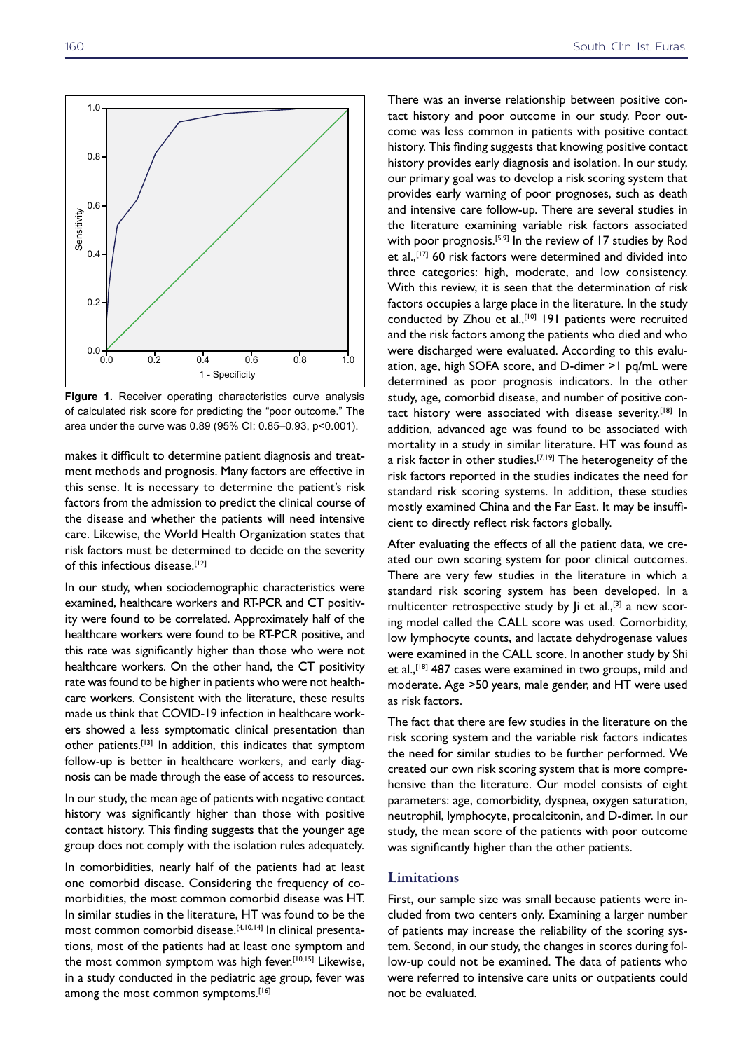1.0

0.8

0.6

 $0.4$ 

**Sensitivity** 





of calculated risk score for predicting the "poor outcome." The area under the curve was 0.89 (95% CI: 0.85–0.93, p<0.001).

makes it difficult to determine patient diagnosis and treatment methods and prognosis. Many factors are effective in this sense. It is necessary to determine the patient's risk factors from the admission to predict the clinical course of the disease and whether the patients will need intensive care. Likewise, the World Health Organization states that risk factors must be determined to decide on the severity of this infectious disease.<sup>[12]</sup>

In our study, when sociodemographic characteristics were examined, healthcare workers and RT-PCR and CT positivity were found to be correlated. Approximately half of the healthcare workers were found to be RT-PCR positive, and this rate was significantly higher than those who were not healthcare workers. On the other hand, the CT positivity rate was found to be higher in patients who were not healthcare workers. Consistent with the literature, these results made us think that COVID-19 infection in healthcare workers showed a less symptomatic clinical presentation than other patients.[13] In addition, this indicates that symptom follow-up is better in healthcare workers, and early diagnosis can be made through the ease of access to resources.

In our study, the mean age of patients with negative contact history was significantly higher than those with positive contact history. This finding suggests that the younger age group does not comply with the isolation rules adequately.

In comorbidities, nearly half of the patients had at least one comorbid disease. Considering the frequency of comorbidities, the most common comorbid disease was HT. In similar studies in the literature, HT was found to be the most common comorbid disease.[4,10,14] In clinical presentations, most of the patients had at least one symptom and the most common symptom was high fever.<sup>[10,15]</sup> Likewise, in a study conducted in the pediatric age group, fever was among the most common symptoms.<sup>[16]</sup>

There was an inverse relationship between positive contact history and poor outcome in our study. Poor outcome was less common in patients with positive contact history. This finding suggests that knowing positive contact history provides early diagnosis and isolation. In our study, our primary goal was to develop a risk scoring system that provides early warning of poor prognoses, such as death and intensive care follow-up. There are several studies in the literature examining variable risk factors associated with poor prognosis.<sup>[5,9]</sup> In the review of 17 studies by Rod et al.,<sup>[17]</sup> 60 risk factors were determined and divided into three categories: high, moderate, and low consistency. With this review, it is seen that the determination of risk factors occupies a large place in the literature. In the study conducted by Zhou et al.,<sup>[10]</sup> 191 patients were recruited and the risk factors among the patients who died and who were discharged were evaluated. According to this evaluation, age, high SOFA score, and D-dimer >1 pq/mL were determined as poor prognosis indicators. In the other study, age, comorbid disease, and number of positive contact history were associated with disease severity.<sup>[18]</sup> In addition, advanced age was found to be associated with mortality in a study in similar literature. HT was found as a risk factor in other studies.<sup>[7,19]</sup> The heterogeneity of the risk factors reported in the studies indicates the need for standard risk scoring systems. In addition, these studies mostly examined China and the Far East. It may be insufficient to directly reflect risk factors globally.

After evaluating the effects of all the patient data, we created our own scoring system for poor clinical outcomes. There are very few studies in the literature in which a standard risk scoring system has been developed. In a multicenter retrospective study by  $j$ i et al.,<sup>[3]</sup> a new scoring model called the CALL score was used. Comorbidity, low lymphocyte counts, and lactate dehydrogenase values were examined in the CALL score. In another study by Shi et al.,<sup>[18]</sup> 487 cases were examined in two groups, mild and moderate. Age >50 years, male gender, and HT were used as risk factors.

The fact that there are few studies in the literature on the risk scoring system and the variable risk factors indicates the need for similar studies to be further performed. We created our own risk scoring system that is more comprehensive than the literature. Our model consists of eight parameters: age, comorbidity, dyspnea, oxygen saturation, neutrophil, lymphocyte, procalcitonin, and D-dimer. In our study, the mean score of the patients with poor outcome was significantly higher than the other patients.

#### Limitations

First, our sample size was small because patients were included from two centers only. Examining a larger number of patients may increase the reliability of the scoring system. Second, in our study, the changes in scores during follow-up could not be examined. The data of patients who were referred to intensive care units or outpatients could not be evaluated.